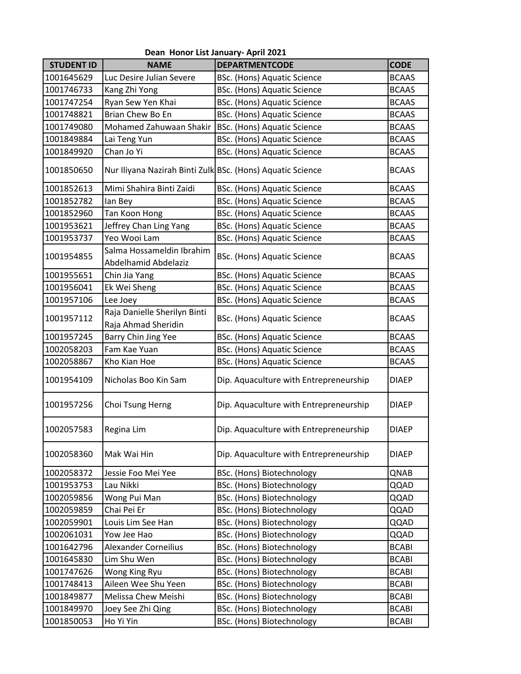|                   |                                                            | Dean Honor List January- April 2021    |              |
|-------------------|------------------------------------------------------------|----------------------------------------|--------------|
| <b>STUDENT ID</b> | <b>NAME</b>                                                | <b>DEPARTMENTCODE</b>                  | <b>CODE</b>  |
| 1001645629        | Luc Desire Julian Severe                                   | BSc. (Hons) Aquatic Science            | <b>BCAAS</b> |
| 1001746733        | Kang Zhi Yong                                              | BSc. (Hons) Aquatic Science            | <b>BCAAS</b> |
| 1001747254        | Ryan Sew Yen Khai                                          | <b>BSc.</b> (Hons) Aquatic Science     | <b>BCAAS</b> |
| 1001748821        | Brian Chew Bo En                                           | BSc. (Hons) Aquatic Science            | <b>BCAAS</b> |
| 1001749080        | Mohamed Zahuwaan Shakir                                    | <b>BSc.</b> (Hons) Aquatic Science     | <b>BCAAS</b> |
| 1001849884        | Lai Teng Yun                                               | BSc. (Hons) Aquatic Science            | <b>BCAAS</b> |
| 1001849920        | Chan Jo Yi                                                 | <b>BSc.</b> (Hons) Aquatic Science     | <b>BCAAS</b> |
| 1001850650        | Nur Iliyana Nazirah Binti Zulk BSc. (Hons) Aquatic Science |                                        | <b>BCAAS</b> |
| 1001852613        | Mimi Shahira Binti Zaidi                                   | BSc. (Hons) Aquatic Science            | <b>BCAAS</b> |
| 1001852782        | lan Bey                                                    | BSc. (Hons) Aquatic Science            | <b>BCAAS</b> |
| 1001852960        | Tan Koon Hong                                              | <b>BSc.</b> (Hons) Aquatic Science     | <b>BCAAS</b> |
| 1001953621        | Jeffrey Chan Ling Yang                                     | <b>BSc.</b> (Hons) Aquatic Science     | <b>BCAAS</b> |
| 1001953737        | Yeo Wooi Lam                                               | BSc. (Hons) Aquatic Science            | <b>BCAAS</b> |
| 1001954855        | Salma Hossameldin Ibrahim<br>Abdelhamid Abdelaziz          | <b>BSc.</b> (Hons) Aquatic Science     | <b>BCAAS</b> |
| 1001955651        | Chin Jia Yang                                              | BSc. (Hons) Aquatic Science            | <b>BCAAS</b> |
| 1001956041        | Ek Wei Sheng                                               | BSc. (Hons) Aquatic Science            | <b>BCAAS</b> |
| 1001957106        | Lee Joey                                                   | BSc. (Hons) Aquatic Science            | <b>BCAAS</b> |
| 1001957112        | Raja Danielle Sherilyn Binti<br>Raja Ahmad Sheridin        | BSc. (Hons) Aquatic Science            | <b>BCAAS</b> |
| 1001957245        | Barry Chin Jing Yee                                        | <b>BSc.</b> (Hons) Aquatic Science     | <b>BCAAS</b> |
| 1002058203        | Fam Kae Yuan                                               | BSc. (Hons) Aquatic Science            | <b>BCAAS</b> |
| 1002058867        | Kho Kian Hoe                                               | BSc. (Hons) Aquatic Science            | <b>BCAAS</b> |
| 1001954109        | Nicholas Boo Kin Sam                                       | Dip. Aquaculture with Entrepreneurship | <b>DIAEP</b> |
| 1001957256        | Choi Tsung Herng                                           | Dip. Aquaculture with Entrepreneurship | <b>DIAEP</b> |
| 1002057583        | Regina Lim                                                 | Dip. Aquaculture with Entrepreneurship | <b>DIAEP</b> |
| 1002058360        | Mak Wai Hin                                                | Dip. Aquaculture with Entrepreneurship | <b>DIAEP</b> |
| 1002058372        | Jessie Foo Mei Yee                                         | BSc. (Hons) Biotechnology              | QNAB         |
| 1001953753        | Lau Nikki                                                  | BSc. (Hons) Biotechnology              | QQAD         |
| 1002059856        | Wong Pui Man                                               | BSc. (Hons) Biotechnology              | QQAD         |
| 1002059859        | Chai Pei Er                                                | BSc. (Hons) Biotechnology              | QQAD         |
| 1002059901        | Louis Lim See Han                                          | BSc. (Hons) Biotechnology              | QQAD         |
| 1002061031        | Yow Jee Hao                                                | BSc. (Hons) Biotechnology              | QQAD         |
| 1001642796        | <b>Alexander Corneilius</b>                                | BSc. (Hons) Biotechnology              | <b>BCABI</b> |
| 1001645830        | Lim Shu Wen                                                | BSc. (Hons) Biotechnology              | <b>BCABI</b> |
| 1001747626        | Wong King Ryu                                              | BSc. (Hons) Biotechnology              | <b>BCABI</b> |
| 1001748413        | Aileen Wee Shu Yeen                                        | BSc. (Hons) Biotechnology              | <b>BCABI</b> |
| 1001849877        | Melissa Chew Meishi                                        | BSc. (Hons) Biotechnology              | <b>BCABI</b> |
| 1001849970        | Joey See Zhi Qing                                          | BSc. (Hons) Biotechnology              | <b>BCABI</b> |
| 1001850053        | Ho Yi Yin                                                  | BSc. (Hons) Biotechnology              | <b>BCABI</b> |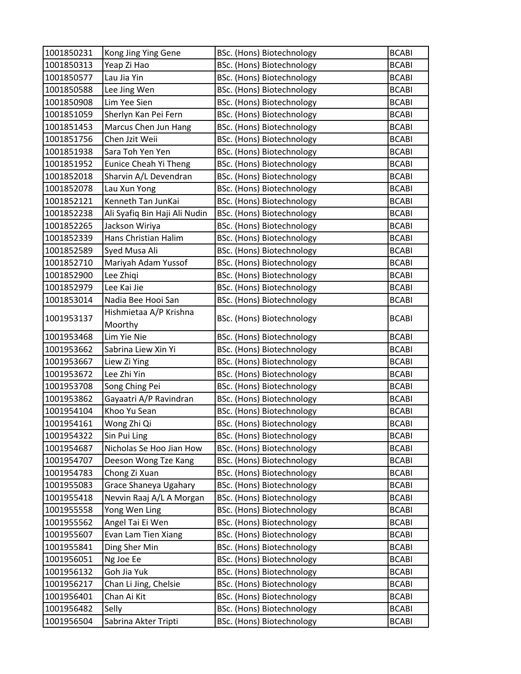| 1001850231 | Kong Jing Ying Gene           | BSc. (Hons) Biotechnology        | <b>BCABI</b> |
|------------|-------------------------------|----------------------------------|--------------|
| 1001850313 | Yeap Zi Hao                   | BSc. (Hons) Biotechnology        | <b>BCABI</b> |
| 1001850577 | Lau Jia Yin                   | BSc. (Hons) Biotechnology        | <b>BCABI</b> |
| 1001850588 | Lee Jing Wen                  | BSc. (Hons) Biotechnology        | <b>BCABI</b> |
| 1001850908 | Lim Yee Sien                  | BSc. (Hons) Biotechnology        | <b>BCABI</b> |
| 1001851059 | Sherlyn Kan Pei Fern          | BSc. (Hons) Biotechnology        | <b>BCABI</b> |
| 1001851453 | Marcus Chen Jun Hang          | BSc. (Hons) Biotechnology        | <b>BCABI</b> |
| 1001851756 | Chen Jzit Weii                | BSc. (Hons) Biotechnology        | <b>BCABI</b> |
| 1001851938 | Sara Toh Yen Yen              | BSc. (Hons) Biotechnology        | <b>BCABI</b> |
| 1001851952 | <b>Eunice Cheah Yi Theng</b>  | BSc. (Hons) Biotechnology        | <b>BCABI</b> |
| 1001852018 | Sharvin A/L Devendran         | BSc. (Hons) Biotechnology        | <b>BCABI</b> |
| 1001852078 | Lau Xun Yong                  | BSc. (Hons) Biotechnology        | <b>BCABI</b> |
| 1001852121 | Kenneth Tan JunKai            | BSc. (Hons) Biotechnology        | <b>BCABI</b> |
| 1001852238 | Ali Syafiq Bin Haji Ali Nudin | BSc. (Hons) Biotechnology        | <b>BCABI</b> |
| 1001852265 | Jackson Wiriya                | BSc. (Hons) Biotechnology        | <b>BCABI</b> |
| 1001852339 | Hans Christian Halim          | BSc. (Hons) Biotechnology        | <b>BCABI</b> |
| 1001852589 | Syed Musa Ali                 | BSc. (Hons) Biotechnology        | <b>BCABI</b> |
| 1001852710 | Mariyah Adam Yussof           | BSc. (Hons) Biotechnology        | <b>BCABI</b> |
| 1001852900 | Lee Zhiqi                     | BSc. (Hons) Biotechnology        | <b>BCABI</b> |
| 1001852979 | Lee Kai Jie                   | BSc. (Hons) Biotechnology        | <b>BCABI</b> |
| 1001853014 | Nadia Bee Hooi San            | BSc. (Hons) Biotechnology        | <b>BCABI</b> |
| 1001953137 | Hishmietaa A/P Krishna        | BSc. (Hons) Biotechnology        | <b>BCABI</b> |
|            | Moorthy                       |                                  |              |
| 1001953468 | Lim Yie Nie                   | BSc. (Hons) Biotechnology        | <b>BCABI</b> |
| 1001953662 | Sabrina Liew Xin Yi           | BSc. (Hons) Biotechnology        | <b>BCABI</b> |
| 1001953667 | Liew Zi Ying                  | BSc. (Hons) Biotechnology        | <b>BCABI</b> |
| 1001953672 | Lee Zhi Yin                   | BSc. (Hons) Biotechnology        | <b>BCABI</b> |
| 1001953708 | Song Ching Pei                | BSc. (Hons) Biotechnology        | <b>BCABI</b> |
| 1001953862 | Gayaatri A/P Ravindran        | BSc. (Hons) Biotechnology        | <b>BCABI</b> |
| 1001954104 | Khoo Yu Sean                  | BSc. (Hons) Biotechnology        | <b>BCABI</b> |
| 1001954161 | Wong Zhi Qi                   | <b>BSc.</b> (Hons) Biotechnology | <b>BCABI</b> |
| 1001954322 | Sin Pui Ling                  | BSc. (Hons) Biotechnology        | <b>BCABI</b> |
| 1001954687 | Nicholas Se Hoo Jian How      | BSc. (Hons) Biotechnology        | <b>BCABI</b> |
| 1001954707 | Deeson Wong Tze Kang          | BSc. (Hons) Biotechnology        | <b>BCABI</b> |
| 1001954783 | Chong Zi Xuan                 | BSc. (Hons) Biotechnology        | <b>BCABI</b> |
| 1001955083 | Grace Shaneya Ugahary         | BSc. (Hons) Biotechnology        | <b>BCABI</b> |
| 1001955418 | Nevvin Raaj A/L A Morgan      | BSc. (Hons) Biotechnology        | <b>BCABI</b> |
| 1001955558 | Yong Wen Ling                 | BSc. (Hons) Biotechnology        | <b>BCABI</b> |
| 1001955562 | Angel Tai Ei Wen              | BSc. (Hons) Biotechnology        | <b>BCABI</b> |
| 1001955607 | Evan Lam Tien Xiang           | BSc. (Hons) Biotechnology        | <b>BCABI</b> |
| 1001955841 | Ding Sher Min                 | BSc. (Hons) Biotechnology        | <b>BCABI</b> |
| 1001956051 | Ng Joe Ee                     | BSc. (Hons) Biotechnology        | <b>BCABI</b> |
| 1001956132 | Goh Jia Yuk                   | BSc. (Hons) Biotechnology        | <b>BCABI</b> |
| 1001956217 | Chan Li Jing, Chelsie         | BSc. (Hons) Biotechnology        | <b>BCABI</b> |
| 1001956401 | Chan Ai Kit                   | BSc. (Hons) Biotechnology        | <b>BCABI</b> |
| 1001956482 | Selly                         | BSc. (Hons) Biotechnology        | <b>BCABI</b> |
| 1001956504 | Sabrina Akter Tripti          | BSc. (Hons) Biotechnology        | <b>BCABI</b> |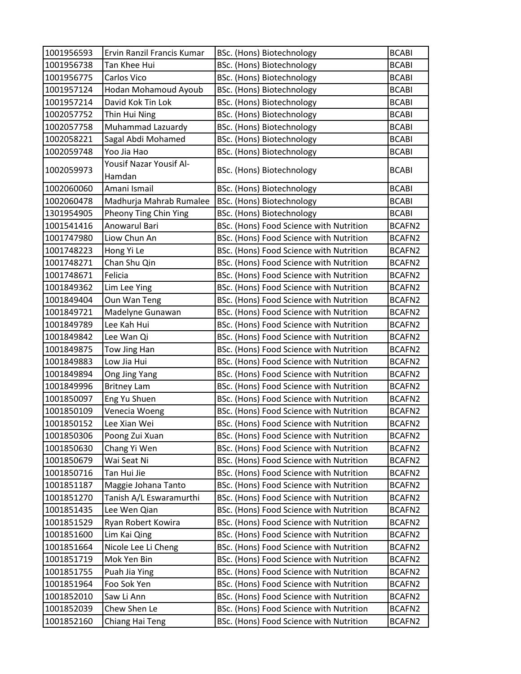| 1001956593               | Ervin Ranzil Francis Kumar         | BSc. (Hons) Biotechnology                                                          | <b>BCABI</b>     |
|--------------------------|------------------------------------|------------------------------------------------------------------------------------|------------------|
| 1001956738               | Tan Khee Hui                       | BSc. (Hons) Biotechnology                                                          | <b>BCABI</b>     |
| 1001956775               | Carlos Vico                        | BSc. (Hons) Biotechnology                                                          | <b>BCABI</b>     |
| 1001957124               | Hodan Mohamoud Ayoub               | BSc. (Hons) Biotechnology                                                          | <b>BCABI</b>     |
| 1001957214               | David Kok Tin Lok                  | BSc. (Hons) Biotechnology                                                          | <b>BCABI</b>     |
| 1002057752               | Thin Hui Ning                      | BSc. (Hons) Biotechnology                                                          | <b>BCABI</b>     |
| 1002057758               | Muhammad Lazuardy                  | BSc. (Hons) Biotechnology                                                          | <b>BCABI</b>     |
| 1002058221               | Sagal Abdi Mohamed                 | BSc. (Hons) Biotechnology                                                          | <b>BCABI</b>     |
| 1002059748               | Yoo Jia Hao                        | BSc. (Hons) Biotechnology                                                          | <b>BCABI</b>     |
| 1002059973               | Yousif Nazar Yousif Al-<br>Hamdan  | BSc. (Hons) Biotechnology                                                          | <b>BCABI</b>     |
| 1002060060               | Amani Ismail                       | BSc. (Hons) Biotechnology                                                          | <b>BCABI</b>     |
| 1002060478               | Madhurja Mahrab Rumalee            | BSc. (Hons) Biotechnology                                                          | <b>BCABI</b>     |
| 1301954905               | Pheony Ting Chin Ying              | BSc. (Hons) Biotechnology                                                          | <b>BCABI</b>     |
| 1001541416               | Anowarul Bari                      | BSc. (Hons) Food Science with Nutrition                                            | BCAFN2           |
| 1001747980               | Liow Chun An                       | BSc. (Hons) Food Science with Nutrition                                            | BCAFN2           |
| 1001748223               | Hong Yi Le                         | BSc. (Hons) Food Science with Nutrition                                            | BCAFN2           |
| 1001748271               | Chan Shu Qin                       | BSc. (Hons) Food Science with Nutrition                                            | BCAFN2           |
| 1001748671               | Felicia                            | BSc. (Hons) Food Science with Nutrition                                            | BCAFN2           |
| 1001849362               | Lim Lee Ying                       | BSc. (Hons) Food Science with Nutrition                                            | BCAFN2           |
| 1001849404               | Oun Wan Teng                       | BSc. (Hons) Food Science with Nutrition                                            | BCAFN2           |
| 1001849721               | Madelyne Gunawan                   | BSc. (Hons) Food Science with Nutrition                                            | BCAFN2           |
| 1001849789               | Lee Kah Hui                        | BSc. (Hons) Food Science with Nutrition                                            | BCAFN2           |
| 1001849842               | Lee Wan Qi                         | BSc. (Hons) Food Science with Nutrition                                            | BCAFN2           |
| 1001849875               | Tow Jing Han                       | BSc. (Hons) Food Science with Nutrition                                            | BCAFN2           |
| 1001849883               | Low Jia Hui                        | BSc. (Hons) Food Science with Nutrition                                            | BCAFN2           |
| 1001849894               | Ong Jing Yang                      | BSc. (Hons) Food Science with Nutrition                                            | BCAFN2           |
| 1001849996               | <b>Britney Lam</b>                 | BSc. (Hons) Food Science with Nutrition                                            | BCAFN2           |
| 1001850097               | Eng Yu Shuen                       | BSc. (Hons) Food Science with Nutrition                                            | BCAFN2           |
| 1001850109               | Venecia Woeng                      | BSc. (Hons) Food Science with Nutrition                                            | BCAFN2           |
| 1001850152               | Lee Xian Wei                       | BSc. (Hons) Food Science with Nutrition                                            | BCAFN2           |
| 1001850306               | Poong Zui Xuan                     | BSc. (Hons) Food Science with Nutrition                                            | BCAFN2           |
| 1001850630               | Chang Yi Wen                       | BSc. (Hons) Food Science with Nutrition                                            | BCAFN2           |
| 1001850679               | Wai Seat Ni                        | BSc. (Hons) Food Science with Nutrition                                            | BCAFN2           |
| 1001850716               | Tan Hui Jie                        | BSc. (Hons) Food Science with Nutrition                                            | BCAFN2           |
| 1001851187               | Maggie Johana Tanto                | BSc. (Hons) Food Science with Nutrition                                            | BCAFN2           |
| 1001851270               | Tanish A/L Eswaramurthi            | BSc. (Hons) Food Science with Nutrition                                            | BCAFN2           |
| 1001851435               | Lee Wen Qian                       | BSc. (Hons) Food Science with Nutrition                                            | BCAFN2           |
| 1001851529               | Ryan Robert Kowira                 | BSc. (Hons) Food Science with Nutrition                                            | BCAFN2           |
| 1001851600               | Lim Kai Qing                       | BSc. (Hons) Food Science with Nutrition                                            | BCAFN2           |
| 1001851664<br>1001851719 | Nicole Lee Li Cheng<br>Mok Yen Bin | BSc. (Hons) Food Science with Nutrition<br>BSc. (Hons) Food Science with Nutrition | BCAFN2<br>BCAFN2 |
| 1001851755               | Puah Jia Ying                      | BSc. (Hons) Food Science with Nutrition                                            | BCAFN2           |
| 1001851964               | Foo Sok Yen                        | BSc. (Hons) Food Science with Nutrition                                            | BCAFN2           |
| 1001852010               | Saw Li Ann                         | BSc. (Hons) Food Science with Nutrition                                            | BCAFN2           |
| 1001852039               | Chew Shen Le                       | BSc. (Hons) Food Science with Nutrition                                            | BCAFN2           |
| 1001852160               | Chiang Hai Teng                    | BSc. (Hons) Food Science with Nutrition                                            | BCAFN2           |
|                          |                                    |                                                                                    |                  |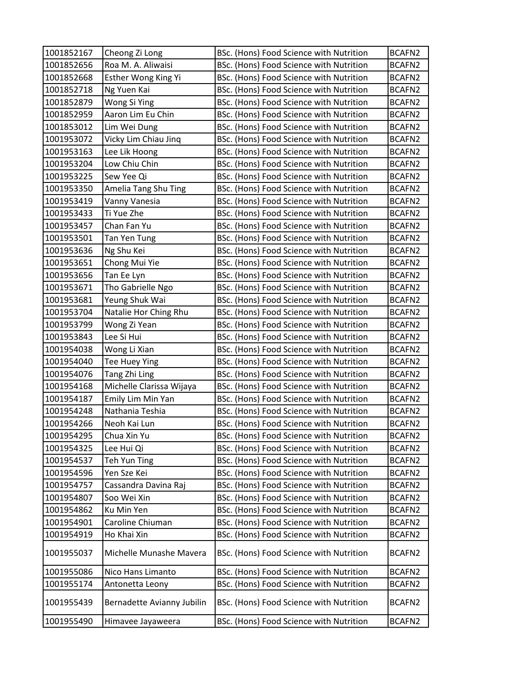| 1001852167 | Cheong Zi Long             | BSc. (Hons) Food Science with Nutrition | BCAFN2        |
|------------|----------------------------|-----------------------------------------|---------------|
| 1001852656 | Roa M. A. Aliwaisi         | BSc. (Hons) Food Science with Nutrition | BCAFN2        |
| 1001852668 | Esther Wong King Yi        | BSc. (Hons) Food Science with Nutrition | BCAFN2        |
| 1001852718 | Ng Yuen Kai                | BSc. (Hons) Food Science with Nutrition | BCAFN2        |
| 1001852879 | Wong Si Ying               | BSc. (Hons) Food Science with Nutrition | BCAFN2        |
| 1001852959 | Aaron Lim Eu Chin          | BSc. (Hons) Food Science with Nutrition | BCAFN2        |
| 1001853012 | Lim Wei Dung               | BSc. (Hons) Food Science with Nutrition | BCAFN2        |
| 1001953072 | Vicky Lim Chiau Jinq       | BSc. (Hons) Food Science with Nutrition | BCAFN2        |
| 1001953163 | Lee Lik Hoong              | BSc. (Hons) Food Science with Nutrition | BCAFN2        |
| 1001953204 | Low Chiu Chin              | BSc. (Hons) Food Science with Nutrition | BCAFN2        |
| 1001953225 | Sew Yee Qi                 | BSc. (Hons) Food Science with Nutrition | BCAFN2        |
| 1001953350 | Amelia Tang Shu Ting       | BSc. (Hons) Food Science with Nutrition | BCAFN2        |
| 1001953419 | Vanny Vanesia              | BSc. (Hons) Food Science with Nutrition | BCAFN2        |
| 1001953433 | Ti Yue Zhe                 | BSc. (Hons) Food Science with Nutrition | BCAFN2        |
| 1001953457 | Chan Fan Yu                | BSc. (Hons) Food Science with Nutrition | BCAFN2        |
| 1001953501 | Tan Yen Tung               | BSc. (Hons) Food Science with Nutrition | BCAFN2        |
| 1001953636 | Ng Shu Kei                 | BSc. (Hons) Food Science with Nutrition | BCAFN2        |
| 1001953651 | Chong Mui Yie              | BSc. (Hons) Food Science with Nutrition | BCAFN2        |
| 1001953656 | Tan Ee Lyn                 | BSc. (Hons) Food Science with Nutrition | BCAFN2        |
| 1001953671 | Tho Gabrielle Ngo          | BSc. (Hons) Food Science with Nutrition | BCAFN2        |
| 1001953681 | Yeung Shuk Wai             | BSc. (Hons) Food Science with Nutrition | BCAFN2        |
| 1001953704 | Natalie Hor Ching Rhu      | BSc. (Hons) Food Science with Nutrition | BCAFN2        |
| 1001953799 | Wong Zi Yean               | BSc. (Hons) Food Science with Nutrition | BCAFN2        |
| 1001953843 | Lee Si Hui                 | BSc. (Hons) Food Science with Nutrition | BCAFN2        |
| 1001954038 | Wong Li Xian               | BSc. (Hons) Food Science with Nutrition | BCAFN2        |
| 1001954040 | Tee Huey Ying              | BSc. (Hons) Food Science with Nutrition | BCAFN2        |
| 1001954076 | Tang Zhi Ling              | BSc. (Hons) Food Science with Nutrition | BCAFN2        |
| 1001954168 | Michelle Clarissa Wijaya   | BSc. (Hons) Food Science with Nutrition | BCAFN2        |
| 1001954187 | Emily Lim Min Yan          | BSc. (Hons) Food Science with Nutrition | BCAFN2        |
| 1001954248 | Nathania Teshia            | BSc. (Hons) Food Science with Nutrition | BCAFN2        |
| 1001954266 | Neoh Kai Lun               | BSc. (Hons) Food Science with Nutrition | BCAFN2        |
| 1001954295 | Chua Xin Yu                | BSc. (Hons) Food Science with Nutrition | BCAFN2        |
| 1001954325 | Lee Hui Qi                 | BSc. (Hons) Food Science with Nutrition | BCAFN2        |
| 1001954537 | Teh Yun Ting               | BSc. (Hons) Food Science with Nutrition | <b>BCAFN2</b> |
| 1001954596 | Yen Sze Kei                | BSc. (Hons) Food Science with Nutrition | BCAFN2        |
| 1001954757 | Cassandra Davina Raj       | BSc. (Hons) Food Science with Nutrition | BCAFN2        |
| 1001954807 | Soo Wei Xin                | BSc. (Hons) Food Science with Nutrition | BCAFN2        |
| 1001954862 | Ku Min Yen                 | BSc. (Hons) Food Science with Nutrition | BCAFN2        |
| 1001954901 | Caroline Chiuman           | BSc. (Hons) Food Science with Nutrition | BCAFN2        |
| 1001954919 | Ho Khai Xin                | BSc. (Hons) Food Science with Nutrition | BCAFN2        |
| 1001955037 | Michelle Munashe Mavera    | BSc. (Hons) Food Science with Nutrition | BCAFN2        |
| 1001955086 | Nico Hans Limanto          | BSc. (Hons) Food Science with Nutrition | BCAFN2        |
| 1001955174 | Antonetta Leony            | BSc. (Hons) Food Science with Nutrition | BCAFN2        |
| 1001955439 | Bernadette Avianny Jubilin | BSc. (Hons) Food Science with Nutrition | BCAFN2        |
| 1001955490 | Himavee Jayaweera          | BSc. (Hons) Food Science with Nutrition | BCAFN2        |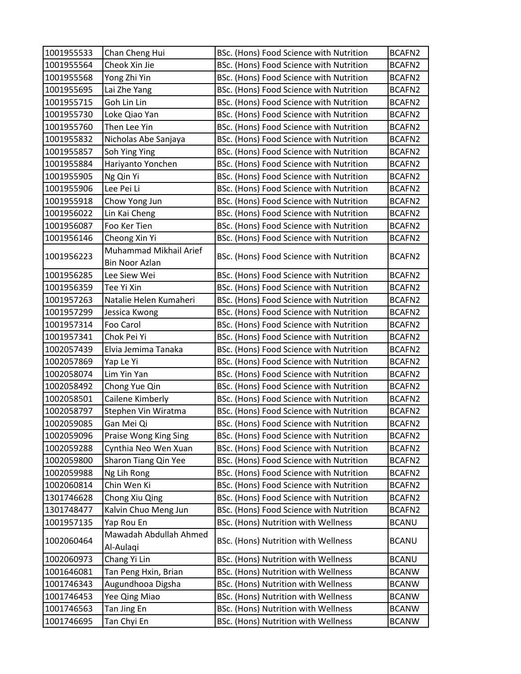| 1001955533 | Chan Cheng Hui         | BSc. (Hons) Food Science with Nutrition | BCAFN2       |
|------------|------------------------|-----------------------------------------|--------------|
| 1001955564 | Cheok Xin Jie          | BSc. (Hons) Food Science with Nutrition | BCAFN2       |
| 1001955568 | Yong Zhi Yin           | BSc. (Hons) Food Science with Nutrition | BCAFN2       |
| 1001955695 | Lai Zhe Yang           | BSc. (Hons) Food Science with Nutrition | BCAFN2       |
| 1001955715 | Goh Lin Lin            | BSc. (Hons) Food Science with Nutrition | BCAFN2       |
| 1001955730 | Loke Qiao Yan          | BSc. (Hons) Food Science with Nutrition | BCAFN2       |
| 1001955760 | Then Lee Yin           | BSc. (Hons) Food Science with Nutrition | BCAFN2       |
| 1001955832 | Nicholas Abe Sanjaya   | BSc. (Hons) Food Science with Nutrition | BCAFN2       |
| 1001955857 | Soh Ying Ying          | BSc. (Hons) Food Science with Nutrition | BCAFN2       |
| 1001955884 | Hariyanto Yonchen      | BSc. (Hons) Food Science with Nutrition | BCAFN2       |
| 1001955905 | Ng Qin Yi              | BSc. (Hons) Food Science with Nutrition | BCAFN2       |
| 1001955906 | Lee Pei Li             | BSc. (Hons) Food Science with Nutrition | BCAFN2       |
| 1001955918 | Chow Yong Jun          | BSc. (Hons) Food Science with Nutrition | BCAFN2       |
| 1001956022 | Lin Kai Cheng          | BSc. (Hons) Food Science with Nutrition | BCAFN2       |
| 1001956087 | Foo Ker Tien           | BSc. (Hons) Food Science with Nutrition | BCAFN2       |
| 1001956146 | Cheong Xin Yi          | BSc. (Hons) Food Science with Nutrition | BCAFN2       |
|            | Muhammad Mikhail Arief |                                         |              |
| 1001956223 | <b>Bin Noor Azlan</b>  | BSc. (Hons) Food Science with Nutrition | BCAFN2       |
| 1001956285 | Lee Siew Wei           | BSc. (Hons) Food Science with Nutrition | BCAFN2       |
| 1001956359 | Tee Yi Xin             | BSc. (Hons) Food Science with Nutrition | BCAFN2       |
| 1001957263 | Natalie Helen Kumaheri | BSc. (Hons) Food Science with Nutrition | BCAFN2       |
| 1001957299 | Jessica Kwong          | BSc. (Hons) Food Science with Nutrition | BCAFN2       |
| 1001957314 | Foo Carol              | BSc. (Hons) Food Science with Nutrition | BCAFN2       |
| 1001957341 | Chok Pei Yi            | BSc. (Hons) Food Science with Nutrition | BCAFN2       |
| 1002057439 | Elvia Jemima Tanaka    | BSc. (Hons) Food Science with Nutrition | BCAFN2       |
| 1002057869 | Yap Le Yi              | BSc. (Hons) Food Science with Nutrition | BCAFN2       |
| 1002058074 | Lim Yin Yan            | BSc. (Hons) Food Science with Nutrition | BCAFN2       |
| 1002058492 | Chong Yue Qin          | BSc. (Hons) Food Science with Nutrition | BCAFN2       |
| 1002058501 | Cailene Kimberly       | BSc. (Hons) Food Science with Nutrition | BCAFN2       |
| 1002058797 | Stephen Vin Wiratma    | BSc. (Hons) Food Science with Nutrition | BCAFN2       |
| 1002059085 | Gan Mei Qi             | BSc. (Hons) Food Science with Nutrition | BCAFN2       |
| 1002059096 | Praise Wong King Sing  | BSc. (Hons) Food Science with Nutrition | BCAFN2       |
| 1002059288 | Cynthia Neo Wen Xuan   | BSc. (Hons) Food Science with Nutrition | BCAFN2       |
| 1002059800 | Sharon Tiang Qin Yee   | BSc. (Hons) Food Science with Nutrition | BCAFN2       |
| 1002059988 | Ng Lih Rong            | BSc. (Hons) Food Science with Nutrition | BCAFN2       |
| 1002060814 | Chin Wen Ki            | BSc. (Hons) Food Science with Nutrition | BCAFN2       |
| 1301746628 | Chong Xiu Qing         | BSc. (Hons) Food Science with Nutrition | BCAFN2       |
| 1301748477 | Kalvin Chuo Meng Jun   | BSc. (Hons) Food Science with Nutrition | BCAFN2       |
| 1001957135 | Yap Rou En             | BSc. (Hons) Nutrition with Wellness     | <b>BCANU</b> |
| 1002060464 | Mawadah Abdullah Ahmed | BSc. (Hons) Nutrition with Wellness     | <b>BCANU</b> |
|            | Al-Aulagi              |                                         |              |
| 1002060973 | Chang Yi Lin           | BSc. (Hons) Nutrition with Wellness     | <b>BCANU</b> |
| 1001646081 | Tan Peng Hxin, Brian   | BSc. (Hons) Nutrition with Wellness     | <b>BCANW</b> |
| 1001746343 | Augundhooa Digsha      | BSc. (Hons) Nutrition with Wellness     | <b>BCANW</b> |
| 1001746453 | Yee Qing Miao          | BSc. (Hons) Nutrition with Wellness     | <b>BCANW</b> |
| 1001746563 | Tan Jing En            | BSc. (Hons) Nutrition with Wellness     | <b>BCANW</b> |
| 1001746695 | Tan Chyi En            | BSc. (Hons) Nutrition with Wellness     | <b>BCANW</b> |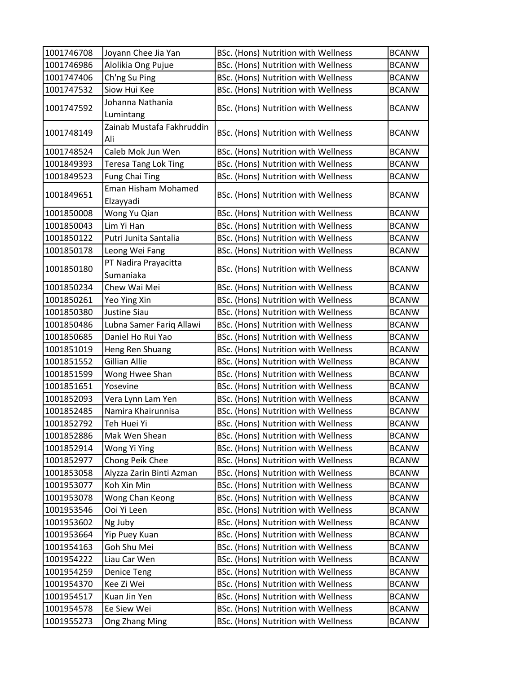| 1001746708 | Joyann Chee Jia Yan                    | BSc. (Hons) Nutrition with Wellness        | <b>BCANW</b> |
|------------|----------------------------------------|--------------------------------------------|--------------|
| 1001746986 | Alolikia Ong Pujue                     | BSc. (Hons) Nutrition with Wellness        | <b>BCANW</b> |
| 1001747406 | Ch'ng Su Ping                          | BSc. (Hons) Nutrition with Wellness        | <b>BCANW</b> |
| 1001747532 | Siow Hui Kee                           | BSc. (Hons) Nutrition with Wellness        | <b>BCANW</b> |
| 1001747592 | Johanna Nathania                       | BSc. (Hons) Nutrition with Wellness        | <b>BCANW</b> |
|            | Lumintang<br>Zainab Mustafa Fakhruddin |                                            |              |
| 1001748149 | Ali                                    | BSc. (Hons) Nutrition with Wellness        | <b>BCANW</b> |
| 1001748524 | Caleb Mok Jun Wen                      | BSc. (Hons) Nutrition with Wellness        | <b>BCANW</b> |
| 1001849393 | <b>Teresa Tang Lok Ting</b>            | BSc. (Hons) Nutrition with Wellness        | <b>BCANW</b> |
| 1001849523 | <b>Fung Chai Ting</b>                  | BSc. (Hons) Nutrition with Wellness        | <b>BCANW</b> |
| 1001849651 | Eman Hisham Mohamed                    | BSc. (Hons) Nutrition with Wellness        | <b>BCANW</b> |
|            | Elzayyadi                              |                                            |              |
| 1001850008 | Wong Yu Qian                           | BSc. (Hons) Nutrition with Wellness        | <b>BCANW</b> |
| 1001850043 | Lim Yi Han                             | BSc. (Hons) Nutrition with Wellness        | <b>BCANW</b> |
| 1001850122 | Putri Junita Santalia                  | BSc. (Hons) Nutrition with Wellness        | <b>BCANW</b> |
| 1001850178 | Leong Wei Fang                         | BSc. (Hons) Nutrition with Wellness        | <b>BCANW</b> |
| 1001850180 | PT Nadira Prayacitta                   | BSc. (Hons) Nutrition with Wellness        | <b>BCANW</b> |
|            | Sumaniaka                              |                                            |              |
| 1001850234 | Chew Wai Mei                           | BSc. (Hons) Nutrition with Wellness        | <b>BCANW</b> |
| 1001850261 | Yeo Ying Xin                           | BSc. (Hons) Nutrition with Wellness        | <b>BCANW</b> |
| 1001850380 | <b>Justine Siau</b>                    | BSc. (Hons) Nutrition with Wellness        | <b>BCANW</b> |
| 1001850486 | Lubna Samer Fariq Allawi               | BSc. (Hons) Nutrition with Wellness        | <b>BCANW</b> |
| 1001850685 | Daniel Ho Rui Yao                      | BSc. (Hons) Nutrition with Wellness        | <b>BCANW</b> |
| 1001851019 | Heng Ren Shuang                        | BSc. (Hons) Nutrition with Wellness        | <b>BCANW</b> |
| 1001851552 | <b>Gillian Allie</b>                   | BSc. (Hons) Nutrition with Wellness        | <b>BCANW</b> |
| 1001851599 | Wong Hwee Shan                         | BSc. (Hons) Nutrition with Wellness        | <b>BCANW</b> |
| 1001851651 | Yosevine                               | BSc. (Hons) Nutrition with Wellness        | <b>BCANW</b> |
| 1001852093 | Vera Lynn Lam Yen                      | BSc. (Hons) Nutrition with Wellness        | <b>BCANW</b> |
| 1001852485 | Namira Khairunnisa                     | BSc. (Hons) Nutrition with Wellness        | <b>BCANW</b> |
| 1001852792 | Teh Huei Yi                            | BSc. (Hons) Nutrition with Wellness        | <b>BCANW</b> |
| 1001852886 | Mak Wen Shean                          | BSc. (Hons) Nutrition with Wellness        | <b>BCANW</b> |
| 1001852914 | Wong Yi Ying                           | BSc. (Hons) Nutrition with Wellness        | <b>BCANW</b> |
| 1001852977 | Chong Peik Chee                        | <b>BSc. (Hons) Nutrition with Wellness</b> | <b>BCANW</b> |
| 1001853058 | Alyzza Zarin Binti Azman               | BSc. (Hons) Nutrition with Wellness        | <b>BCANW</b> |
| 1001953077 | Koh Xin Min                            | BSc. (Hons) Nutrition with Wellness        | <b>BCANW</b> |
| 1001953078 | Wong Chan Keong                        | BSc. (Hons) Nutrition with Wellness        | <b>BCANW</b> |
| 1001953546 | Ooi Yi Leen                            | BSc. (Hons) Nutrition with Wellness        | <b>BCANW</b> |
| 1001953602 | Ng Juby                                | BSc. (Hons) Nutrition with Wellness        | <b>BCANW</b> |
| 1001953664 | Yip Puey Kuan                          | BSc. (Hons) Nutrition with Wellness        | <b>BCANW</b> |
| 1001954163 | Goh Shu Mei                            | BSc. (Hons) Nutrition with Wellness        | <b>BCANW</b> |
| 1001954222 | Liau Car Wen                           | BSc. (Hons) Nutrition with Wellness        | <b>BCANW</b> |
| 1001954259 | <b>Denice Teng</b>                     | BSc. (Hons) Nutrition with Wellness        | <b>BCANW</b> |
| 1001954370 | Kee Zi Wei                             | BSc. (Hons) Nutrition with Wellness        | <b>BCANW</b> |
| 1001954517 | Kuan Jin Yen                           | <b>BSc. (Hons) Nutrition with Wellness</b> | <b>BCANW</b> |
| 1001954578 | Ee Siew Wei                            | BSc. (Hons) Nutrition with Wellness        | <b>BCANW</b> |
| 1001955273 | Ong Zhang Ming                         | BSc. (Hons) Nutrition with Wellness        | <b>BCANW</b> |